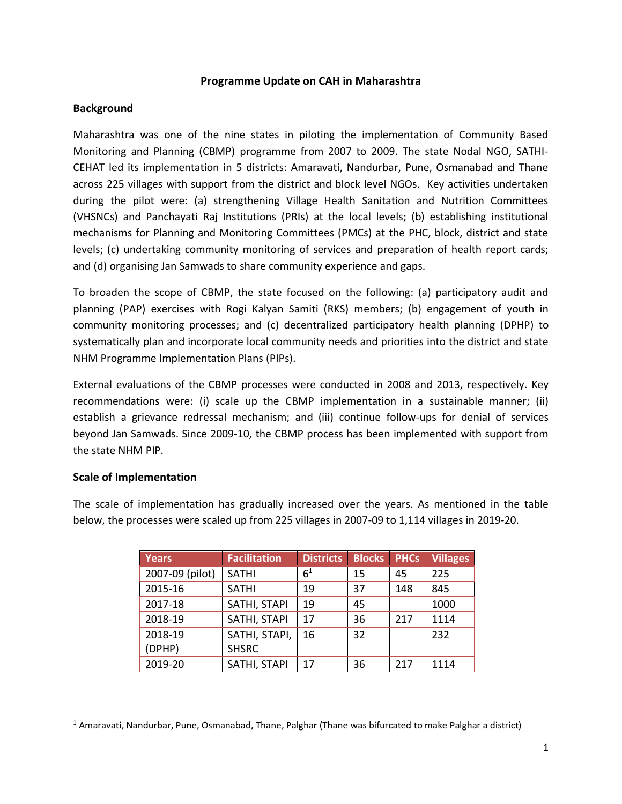### **Programme Update on CAH in Maharashtra**

## **Background**

Maharashtra was one of the nine states in piloting the implementation of Community Based Monitoring and Planning (CBMP) programme from 2007 to 2009. The state Nodal NGO, SATHI-CEHAT led its implementation in 5 districts: Amaravati, Nandurbar, Pune, Osmanabad and Thane across 225 villages with support from the district and block level NGOs. Key activities undertaken during the pilot were: (a) strengthening Village Health Sanitation and Nutrition Committees (VHSNCs) and Panchayati Raj Institutions (PRIs) at the local levels; (b) establishing institutional mechanisms for Planning and Monitoring Committees (PMCs) at the PHC, block, district and state levels; (c) undertaking community monitoring of services and preparation of health report cards; and (d) organising Jan Samwads to share community experience and gaps.

To broaden the scope of CBMP, the state focused on the following: (a) participatory audit and planning (PAP) exercises with Rogi Kalyan Samiti (RKS) members; (b) engagement of youth in community monitoring processes; and (c) decentralized participatory health planning (DPHP) to systematically plan and incorporate local community needs and priorities into the district and state NHM Programme Implementation Plans (PIPs).

External evaluations of the CBMP processes were conducted in 2008 and 2013, respectively. Key recommendations were: (i) scale up the CBMP implementation in a sustainable manner; (ii) establish a grievance redressal mechanism; and (iii) continue follow-ups for denial of services beyond Jan Samwads. Since 2009-10, the CBMP process has been implemented with support from the state NHM PIP.

## **Scale of Implementation**

 $\overline{a}$ 

The scale of implementation has gradually increased over the years. As mentioned in the table below, the processes were scaled up from 225 villages in 2007-09 to 1,114 villages in 2019-20.

| <b>Years</b>    | <b>Facilitation</b> | <b>Districts</b> | <b>Blocks</b> | <b>PHCs</b> | <b>Villages</b> |
|-----------------|---------------------|------------------|---------------|-------------|-----------------|
| 2007-09 (pilot) | <b>SATHI</b>        | 6 <sup>1</sup>   | 15            | 45          | 225             |
| 2015-16         | <b>SATHI</b>        | 19               | 37            | 148         | 845             |
| 2017-18         | SATHI, STAPI        | 19               | 45            |             | 1000            |
| 2018-19         | SATHI, STAPI        | 17               | 36            | 217         | 1114            |
| 2018-19         | SATHI, STAPI,       | 16               | 32            |             | 232             |
| (DPHP)          | <b>SHSRC</b>        |                  |               |             |                 |
| 2019-20         | SATHI, STAPI        | 17               | 36            | 217         | 1114            |

 $<sup>1</sup>$  Amaravati, Nandurbar, Pune, Osmanabad, Thane, Palghar (Thane was bifurcated to make Palghar a district)</sup>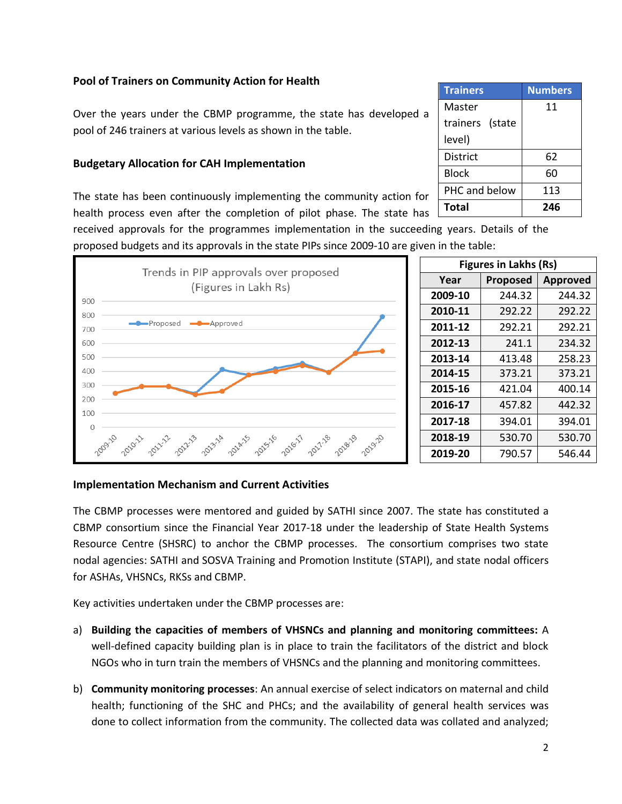# **Pool of Trainers on Community Action for Health**

Over the years under the CBMP programme, the state has developed a pool of 246 trainers at various levels as shown in the table.

### **Budgetary Allocation for CAH Implementation**

The state has been continuously implementing the community action for health process even after the completion of pilot phase. The state has

received approvals for the programmes implementation in the succeeding years. Details of the proposed budgets and its approvals in the state PIPs since 2009-10 are given in the table:



| <b>Figures in Lakhs (Rs)</b> |                 |                 |  |  |  |
|------------------------------|-----------------|-----------------|--|--|--|
| Year                         | <b>Proposed</b> | <b>Approved</b> |  |  |  |
| 2009-10                      | 244.32          | 244.32          |  |  |  |
| 2010-11                      | 292.22          | 292.22          |  |  |  |
| 2011-12                      | 292.21          | 292.21          |  |  |  |
| 2012-13                      | 241.1           | 234.32          |  |  |  |
| 2013-14                      | 413.48          | 258.23          |  |  |  |
| 2014-15                      | 373.21          | 373.21          |  |  |  |
| 2015-16                      | 421.04          | 400.14          |  |  |  |
| 2016-17                      | 457.82          | 442.32          |  |  |  |
| 2017-18                      | 394.01          | 394.01          |  |  |  |
| 2018-19                      | 530.70          | 530.70          |  |  |  |
| 2019-20                      | 790.57          | 546.44          |  |  |  |

#### **Implementation Mechanism and Current Activities**

The CBMP processes were mentored and guided by SATHI since 2007. The state has constituted a CBMP consortium since the Financial Year 2017-18 under the leadership of State Health Systems Resource Centre (SHSRC) to anchor the CBMP processes. The consortium comprises two state nodal agencies: SATHI and SOSVA Training and Promotion Institute (STAPI), and state nodal officers for ASHAs, VHSNCs, RKSs and CBMP.

Key activities undertaken under the CBMP processes are:

- a) **Building the capacities of members of VHSNCs and planning and monitoring committees:** A well-defined capacity building plan is in place to train the facilitators of the district and block NGOs who in turn train the members of VHSNCs and the planning and monitoring committees.
- b) **Community monitoring processes**: An annual exercise of select indicators on maternal and child health; functioning of the SHC and PHCs; and the availability of general health services was done to collect information from the community. The collected data was collated and analyzed;

| <b>Trainers</b> | <b>Numbers</b> |
|-----------------|----------------|
| Master          | 11             |
| trainers (state |                |
| level)          |                |
| District        | 62             |
| <b>Block</b>    | 60             |
| PHC and below   | 113            |
| <b>Total</b>    | 246            |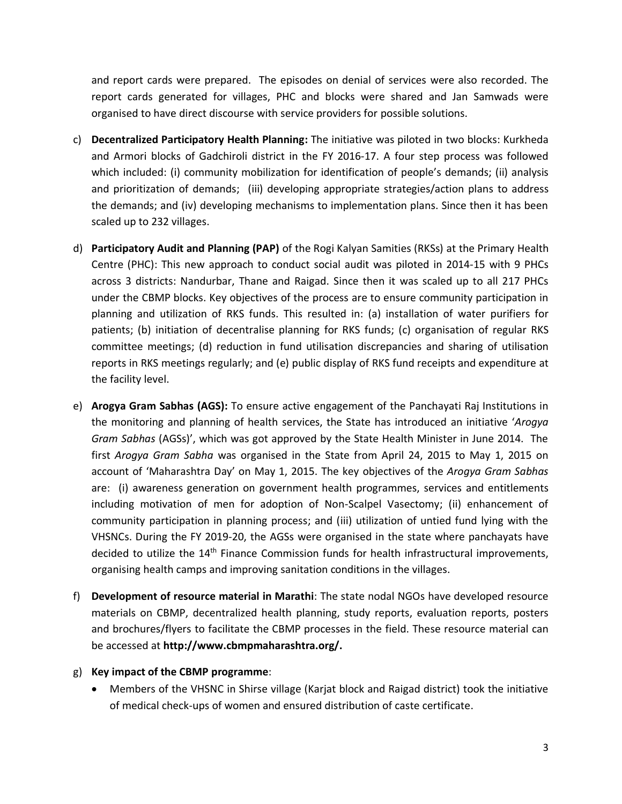and report cards were prepared. The episodes on denial of services were also recorded. The report cards generated for villages, PHC and blocks were shared and Jan Samwads were organised to have direct discourse with service providers for possible solutions.

- c) **Decentralized Participatory Health Planning:** The initiative was piloted in two blocks: Kurkheda and Armori blocks of Gadchiroli district in the FY 2016-17. A four step process was followed which included: (i) community mobilization for identification of people's demands; (ii) analysis and prioritization of demands; (iii) developing appropriate strategies/action plans to address the demands; and (iv) developing mechanisms to implementation plans. Since then it has been scaled up to 232 villages.
- d) **Participatory Audit and Planning (PAP)** of the Rogi Kalyan Samities (RKSs) at the Primary Health Centre (PHC): This new approach to conduct social audit was piloted in 2014-15 with 9 PHCs across 3 districts: Nandurbar, Thane and Raigad. Since then it was scaled up to all 217 PHCs under the CBMP blocks. Key objectives of the process are to ensure community participation in planning and utilization of RKS funds. This resulted in: (a) installation of water purifiers for patients; (b) initiation of decentralise planning for RKS funds; (c) organisation of regular RKS committee meetings; (d) reduction in fund utilisation discrepancies and sharing of utilisation reports in RKS meetings regularly; and (e) public display of RKS fund receipts and expenditure at the facility level.
- e) **Arogya Gram Sabhas (AGS):** To ensure active engagement of the Panchayati Raj Institutions in the monitoring and planning of health services, the State has introduced an initiative '*Arogya Gram Sabhas* (AGSs)', which was got approved by the State Health Minister in June 2014. The first *Arogya Gram Sabha* was organised in the State from April 24, 2015 to May 1, 2015 on account of 'Maharashtra Day' on May 1, 2015. The key objectives of the *Arogya Gram Sabhas* are: (i) awareness generation on government health programmes, services and entitlements including motivation of men for adoption of Non-Scalpel Vasectomy; (ii) enhancement of community participation in planning process; and (iii) utilization of untied fund lying with the VHSNCs. During the FY 2019-20, the AGSs were organised in the state where panchayats have decided to utilize the 14<sup>th</sup> Finance Commission funds for health infrastructural improvements, organising health camps and improving sanitation conditions in the villages.
- f) **Development of resource material in Marathi**: The state nodal NGOs have developed resource materials on CBMP, decentralized health planning, study reports, evaluation reports, posters and brochures/flyers to facilitate the CBMP processes in the field. These resource material can be accessed at **http://www.cbmpmaharashtra.org/.**
- g) **Key impact of the CBMP programme**:
	- Members of the VHSNC in Shirse village (Karjat block and Raigad district) took the initiative of medical check-ups of women and ensured distribution of caste certificate.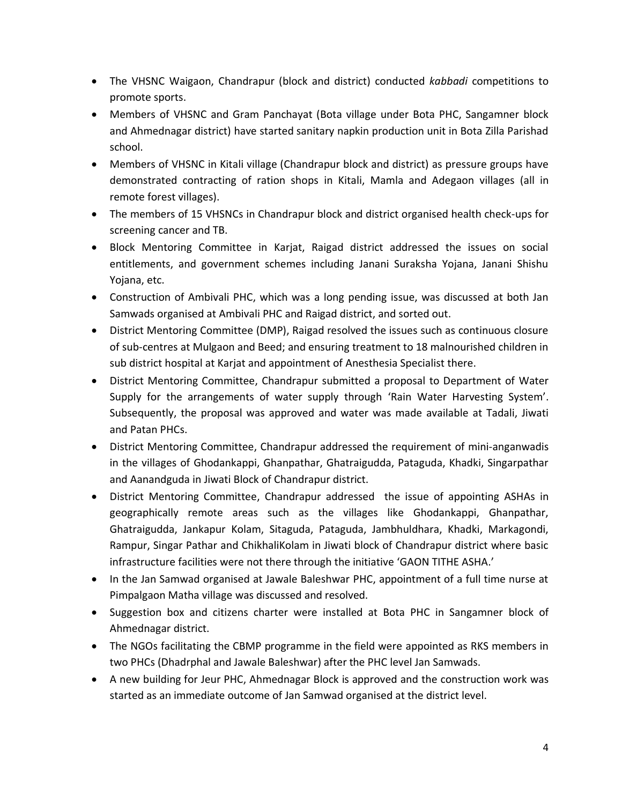- The VHSNC Waigaon, Chandrapur (block and district) conducted *kabbadi* competitions to promote sports.
- Members of VHSNC and Gram Panchayat (Bota village under Bota PHC, Sangamner block and Ahmednagar district) have started sanitary napkin production unit in Bota Zilla Parishad school.
- Members of VHSNC in Kitali village (Chandrapur block and district) as pressure groups have demonstrated contracting of ration shops in Kitali, Mamla and Adegaon villages (all in remote forest villages).
- The members of 15 VHSNCs in Chandrapur block and district organised health check-ups for screening cancer and TB.
- Block Mentoring Committee in Karjat, Raigad district addressed the issues on social entitlements, and government schemes including Janani Suraksha Yojana, Janani Shishu Yojana, etc.
- Construction of Ambivali PHC, which was a long pending issue, was discussed at both Jan Samwads organised at Ambivali PHC and Raigad district, and sorted out.
- District Mentoring Committee (DMP), Raigad resolved the issues such as continuous closure of sub-centres at Mulgaon and Beed; and ensuring treatment to 18 malnourished children in sub district hospital at Karjat and appointment of Anesthesia Specialist there.
- District Mentoring Committee, Chandrapur submitted a proposal to Department of Water Supply for the arrangements of water supply through 'Rain Water Harvesting System'. Subsequently, the proposal was approved and water was made available at Tadali, Jiwati and Patan PHCs.
- District Mentoring Committee, Chandrapur addressed the requirement of mini-anganwadis in the villages of Ghodankappi, Ghanpathar, Ghatraigudda, Pataguda, Khadki, Singarpathar and Aanandguda in Jiwati Block of Chandrapur district.
- District Mentoring Committee, Chandrapur addressed the issue of appointing ASHAs in geographically remote areas such as the villages like Ghodankappi, Ghanpathar, Ghatraigudda, Jankapur Kolam, Sitaguda, Pataguda, Jambhuldhara, Khadki, Markagondi, Rampur, Singar Pathar and ChikhaliKolam in Jiwati block of Chandrapur district where basic infrastructure facilities were not there through the initiative 'GAON TITHE ASHA.'
- In the Jan Samwad organised at Jawale Baleshwar PHC, appointment of a full time nurse at Pimpalgaon Matha village was discussed and resolved.
- Suggestion box and citizens charter were installed at Bota PHC in Sangamner block of Ahmednagar district.
- The NGOs facilitating the CBMP programme in the field were appointed as RKS members in two PHCs (Dhadrphal and Jawale Baleshwar) after the PHC level Jan Samwads.
- A new building for Jeur PHC, Ahmednagar Block is approved and the construction work was started as an immediate outcome of Jan Samwad organised at the district level.